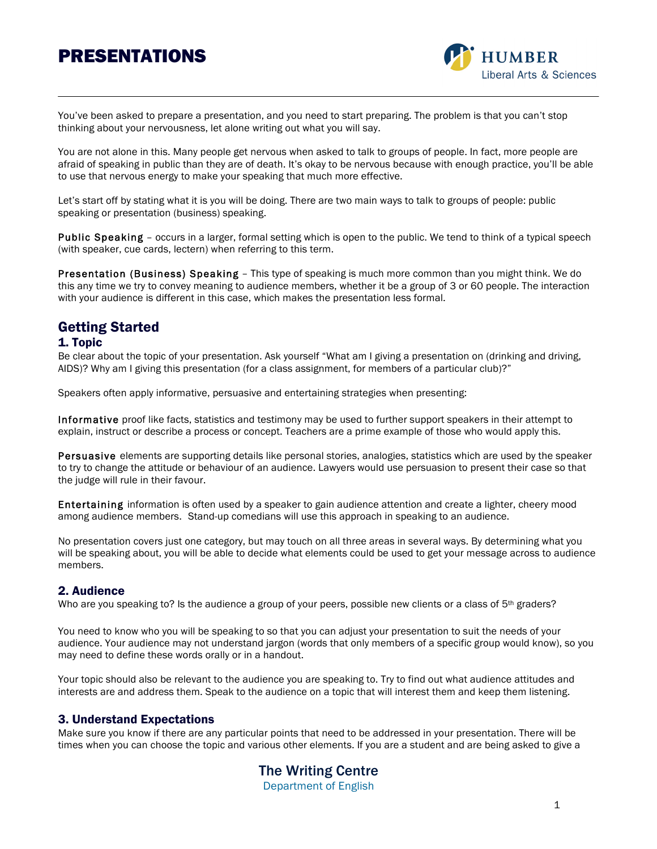# PRESENTATIONS



You've been asked to prepare a presentation, and you need to start preparing. The problem is that you can't stop thinking about your nervousness, let alone writing out what you will say.

You are not alone in this. Many people get nervous when asked to talk to groups of people. In fact, more people are afraid of speaking in public than they are of death. It's okay to be nervous because with enough practice, you'll be able to use that nervous energy to make your speaking that much more effective.

Let's start off by stating what it is you will be doing. There are two main ways to talk to groups of people: public speaking or presentation (business) speaking.

Public Speaking – occurs in a larger, formal setting which is open to the public. We tend to think of a typical speech (with speaker, cue cards, lectern) when referring to this term.

Presentation (Business) Speaking – This type of speaking is much more common than you might think. We do this any time we try to convey meaning to audience members, whether it be a group of 3 or 60 people. The interaction with your audience is different in this case, which makes the presentation less formal.

### Getting Started

#### 1. Topic

Be clear about the topic of your presentation. Ask yourself "What am I giving a presentation on (drinking and driving, AIDS)? Why am I giving this presentation (for a class assignment, for members of a particular club)?"

Speakers often apply informative, persuasive and entertaining strategies when presenting:

Informative proof like facts, statistics and testimony may be used to further support speakers in their attempt to explain, instruct or describe a process or concept. Teachers are a prime example of those who would apply this.

Persuasive elements are supporting details like personal stories, analogies, statistics which are used by the speaker to try to change the attitude or behaviour of an audience. Lawyers would use persuasion to present their case so that the judge will rule in their favour.

Entertaining information is often used by a speaker to gain audience attention and create a lighter, cheery mood among audience members. Stand-up comedians will use this approach in speaking to an audience.

No presentation covers just one category, but may touch on all three areas in several ways. By determining what you will be speaking about, you will be able to decide what elements could be used to get your message across to audience members.

### 2. Audience

Who are you speaking to? Is the audience a group of your peers, possible new clients or a class of 5<sup>th</sup> graders?

You need to know who you will be speaking to so that you can adjust your presentation to suit the needs of your audience. Your audience may not understand jargon (words that only members of a specific group would know), so you may need to define these words orally or in a handout.

Your topic should also be relevant to the audience you are speaking to. Try to find out what audience attitudes and interests are and address them. Speak to the audience on a topic that will interest them and keep them listening.

### 3. Understand Expectations

Make sure you know if there are any particular points that need to be addressed in your presentation. There will be times when you can choose the topic and various other elements. If you are a student and are being asked to give a

### The Writing Centre Department of English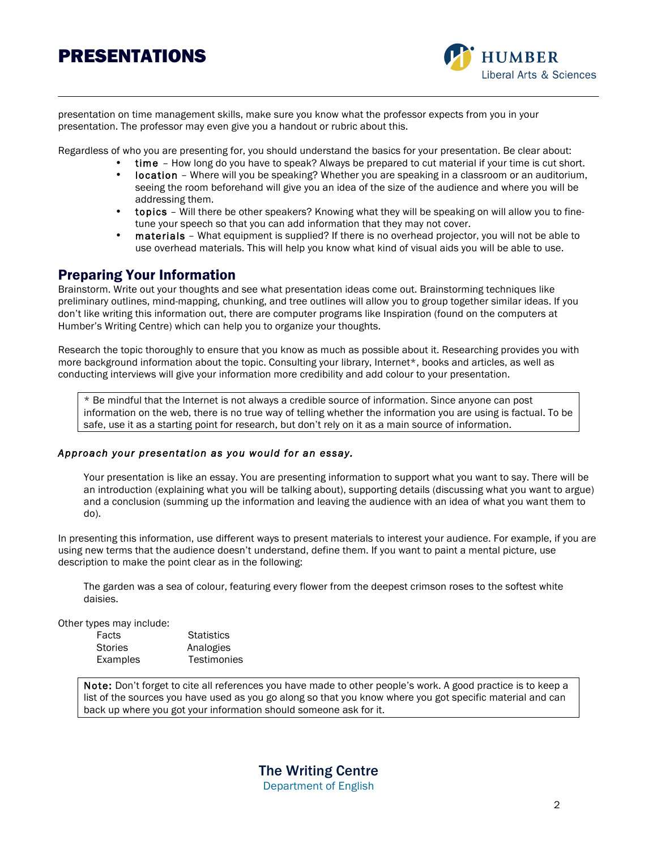# PRESENTATIONS



presentation on time management skills, make sure you know what the professor expects from you in your presentation. The professor may even give you a handout or rubric about this.

Regardless of who you are presenting for, you should understand the basics for your presentation. Be clear about:

- time How long do you have to speak? Always be prepared to cut material if your time is cut short.<br>• location Where will you be speaking? Whether you are speaking in a classroom or an auditorium
- location Where will you be speaking? Whether you are speaking in a classroom or an auditorium, seeing the room beforehand will give you an idea of the size of the audience and where you will be addressing them.
- topics Will there be other speakers? Knowing what they will be speaking on will allow you to finetune your speech so that you can add information that they may not cover.
- materials What equipment is supplied? If there is no overhead projector, you will not be able to use overhead materials. This will help you know what kind of visual aids you will be able to use.

### Preparing Your Information

Brainstorm. Write out your thoughts and see what presentation ideas come out. Brainstorming techniques like preliminary outlines, mind-mapping, chunking, and tree outlines will allow you to group together similar ideas. If you don't like writing this information out, there are computer programs like Inspiration (found on the computers at Humber's Writing Centre) which can help you to organize your thoughts.

Research the topic thoroughly to ensure that you know as much as possible about it. Researching provides you with more background information about the topic. Consulting your library, Internet\*, books and articles, as well as conducting interviews will give your information more credibility and add colour to your presentation.

\* Be mindful that the Internet is not always a credible source of information. Since anyone can post information on the web, there is no true way of telling whether the information you are using is factual. To be safe, use it as a starting point for research, but don't rely on it as a main source of information.

#### *Approach your presentation as you would for an essay.*

Your presentation is like an essay. You are presenting information to support what you want to say. There will be an introduction (explaining what you will be talking about), supporting details (discussing what you want to argue) and a conclusion (summing up the information and leaving the audience with an idea of what you want them to do).

In presenting this information, use different ways to present materials to interest your audience. For example, if you are using new terms that the audience doesn't understand, define them. If you want to paint a mental picture, use description to make the point clear as in the following:

The garden was a sea of colour, featuring every flower from the deepest crimson roses to the softest white daisies.

Other types may include:

| Facts          | <b>Statistics</b>  |
|----------------|--------------------|
| <b>Stories</b> | Analogies          |
| Examples       | <b>Testimonies</b> |

Note: Don't forget to cite all references you have made to other people's work. A good practice is to keep a list of the sources you have used as you go along so that you know where you got specific material and can back up where you got your information should someone ask for it.

> The Writing Centre Department of English